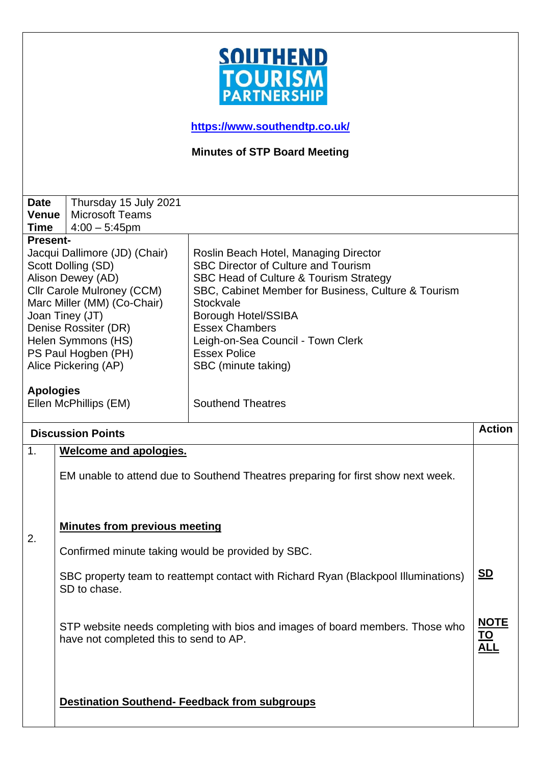

**<https://www.southendtp.co.uk/>**

**Minutes of STP Board Meeting** 

| <b>Date</b>              | Thursday 15 July 2021                                                            |                                                                                    |               |  |
|--------------------------|----------------------------------------------------------------------------------|------------------------------------------------------------------------------------|---------------|--|
| <b>Venue</b>             | <b>Microsoft Teams</b>                                                           |                                                                                    |               |  |
| <b>Time</b>              | $4:00 - 5:45$ pm                                                                 |                                                                                    |               |  |
| <b>Present-</b>          |                                                                                  |                                                                                    |               |  |
|                          | Jacqui Dallimore (JD) (Chair)                                                    | Roslin Beach Hotel, Managing Director                                              |               |  |
|                          | Scott Dolling (SD)                                                               | <b>SBC Director of Culture and Tourism</b>                                         |               |  |
|                          | Alison Dewey (AD)                                                                | SBC Head of Culture & Tourism Strategy                                             |               |  |
|                          | Cllr Carole Mulroney (CCM)                                                       | SBC, Cabinet Member for Business, Culture & Tourism                                |               |  |
|                          | Marc Miller (MM) (Co-Chair)                                                      | Stockvale                                                                          |               |  |
|                          | Joan Tiney (JT)                                                                  | <b>Borough Hotel/SSIBA</b>                                                         |               |  |
|                          | Denise Rossiter (DR)                                                             | <b>Essex Chambers</b>                                                              |               |  |
|                          | Helen Symmons (HS)                                                               | Leigh-on-Sea Council - Town Clerk                                                  |               |  |
|                          | PS Paul Hogben (PH)                                                              | <b>Essex Police</b>                                                                |               |  |
|                          | Alice Pickering (AP)                                                             | SBC (minute taking)                                                                |               |  |
|                          |                                                                                  |                                                                                    |               |  |
| <b>Apologies</b>         |                                                                                  |                                                                                    |               |  |
|                          | Ellen McPhillips (EM)                                                            | <b>Southend Theatres</b>                                                           |               |  |
|                          |                                                                                  |                                                                                    | <b>Action</b> |  |
| <b>Discussion Points</b> |                                                                                  |                                                                                    |               |  |
| 1.                       | <b>Welcome and apologies.</b>                                                    |                                                                                    |               |  |
|                          |                                                                                  |                                                                                    |               |  |
|                          | EM unable to attend due to Southend Theatres preparing for first show next week. |                                                                                    |               |  |
|                          |                                                                                  |                                                                                    |               |  |
|                          |                                                                                  |                                                                                    |               |  |
|                          |                                                                                  |                                                                                    |               |  |
|                          | <b>Minutes from previous meeting</b>                                             |                                                                                    |               |  |
| 2.                       |                                                                                  |                                                                                    |               |  |
|                          | Confirmed minute taking would be provided by SBC.                                |                                                                                    |               |  |
|                          |                                                                                  |                                                                                    |               |  |
|                          |                                                                                  | SBC property team to reattempt contact with Richard Ryan (Blackpool Illuminations) | <u>SD</u>     |  |
|                          | SD to chase.                                                                     |                                                                                    |               |  |
|                          |                                                                                  |                                                                                    |               |  |
|                          |                                                                                  |                                                                                    |               |  |
|                          |                                                                                  | STP website needs completing with bios and images of board members. Those who      |               |  |
|                          |                                                                                  |                                                                                    | <u>NOTE</u>   |  |
|                          | have not completed this to send to AP.                                           |                                                                                    | <u>TO</u>     |  |
|                          |                                                                                  |                                                                                    | <u>ALL</u>    |  |
|                          |                                                                                  |                                                                                    |               |  |
|                          |                                                                                  |                                                                                    |               |  |
|                          |                                                                                  |                                                                                    |               |  |
|                          | <b>Destination Southend- Feedback from subgroups</b>                             |                                                                                    |               |  |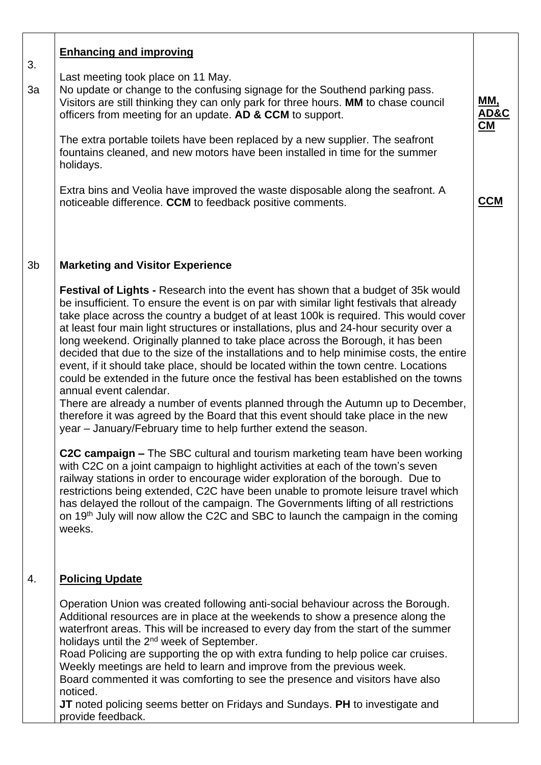| 3.             | <b>Enhancing and improving</b>                                                                                                                                                                                                                                                                                                                                                                                                                                                                                                                                                                                                                                                                                                                                                                                                                                                                                                                                                                           |                          |
|----------------|----------------------------------------------------------------------------------------------------------------------------------------------------------------------------------------------------------------------------------------------------------------------------------------------------------------------------------------------------------------------------------------------------------------------------------------------------------------------------------------------------------------------------------------------------------------------------------------------------------------------------------------------------------------------------------------------------------------------------------------------------------------------------------------------------------------------------------------------------------------------------------------------------------------------------------------------------------------------------------------------------------|--------------------------|
| 3a             | Last meeting took place on 11 May.<br>No update or change to the confusing signage for the Southend parking pass.<br>Visitors are still thinking they can only park for three hours. MM to chase council<br>officers from meeting for an update. AD & CCM to support.                                                                                                                                                                                                                                                                                                                                                                                                                                                                                                                                                                                                                                                                                                                                    | <u>ММ,</u><br>AD&C<br>CM |
|                | The extra portable toilets have been replaced by a new supplier. The seafront<br>fountains cleaned, and new motors have been installed in time for the summer<br>holidays.                                                                                                                                                                                                                                                                                                                                                                                                                                                                                                                                                                                                                                                                                                                                                                                                                               |                          |
|                | Extra bins and Veolia have improved the waste disposable along the seafront. A<br>noticeable difference. CCM to feedback positive comments.                                                                                                                                                                                                                                                                                                                                                                                                                                                                                                                                                                                                                                                                                                                                                                                                                                                              | <b>CCM</b>               |
| 3 <sub>b</sub> | <b>Marketing and Visitor Experience</b>                                                                                                                                                                                                                                                                                                                                                                                                                                                                                                                                                                                                                                                                                                                                                                                                                                                                                                                                                                  |                          |
|                | <b>Festival of Lights - Research into the event has shown that a budget of 35k would</b><br>be insufficient. To ensure the event is on par with similar light festivals that already<br>take place across the country a budget of at least 100k is required. This would cover<br>at least four main light structures or installations, plus and 24-hour security over a<br>long weekend. Originally planned to take place across the Borough, it has been<br>decided that due to the size of the installations and to help minimise costs, the entire<br>event, if it should take place, should be located within the town centre. Locations<br>could be extended in the future once the festival has been established on the towns<br>annual event calendar.<br>There are already a number of events planned through the Autumn up to December,<br>therefore it was agreed by the Board that this event should take place in the new<br>year - January/February time to help further extend the season. |                          |
|                | C2C campaign – The SBC cultural and tourism marketing team have been working<br>with C2C on a joint campaign to highlight activities at each of the town's seven<br>railway stations in order to encourage wider exploration of the borough. Due to<br>restrictions being extended, C2C have been unable to promote leisure travel which<br>has delayed the rollout of the campaign. The Governments lifting of all restrictions<br>on 19 <sup>th</sup> July will now allow the C2C and SBC to launch the campaign in the coming<br>weeks.                                                                                                                                                                                                                                                                                                                                                                                                                                                               |                          |
| 4.             | <b>Policing Update</b>                                                                                                                                                                                                                                                                                                                                                                                                                                                                                                                                                                                                                                                                                                                                                                                                                                                                                                                                                                                   |                          |
|                | Operation Union was created following anti-social behaviour across the Borough.<br>Additional resources are in place at the weekends to show a presence along the<br>waterfront areas. This will be increased to every day from the start of the summer<br>holidays until the 2 <sup>nd</sup> week of September.<br>Road Policing are supporting the op with extra funding to help police car cruises.<br>Weekly meetings are held to learn and improve from the previous week.<br>Board commented it was comforting to see the presence and visitors have also<br>noticed.<br>JT noted policing seems better on Fridays and Sundays. PH to investigate and<br>provide feedback.                                                                                                                                                                                                                                                                                                                         |                          |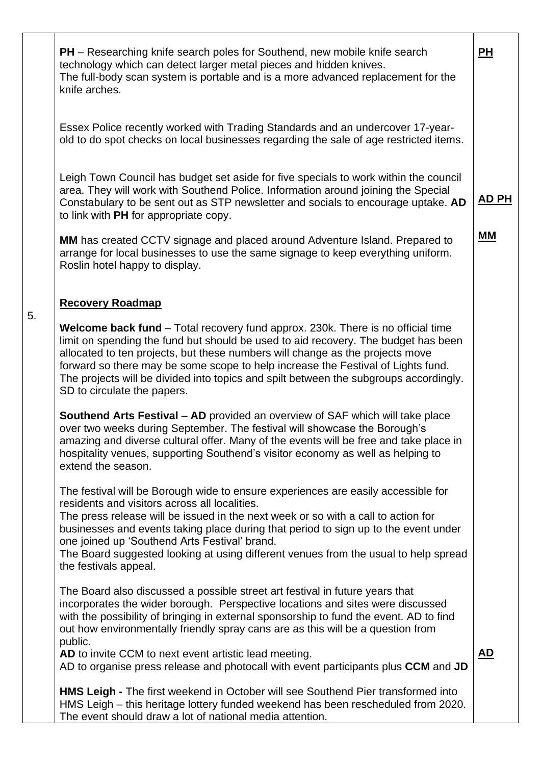| <b>PH</b> – Researching knife search poles for Southend, new mobile knife search<br>technology which can detect larger metal pieces and hidden knives.<br>The full-body scan system is portable and is a more advanced replacement for the<br>knife arches.                                                                                                                                                                                                                                           | <u>PH</u>    |
|-------------------------------------------------------------------------------------------------------------------------------------------------------------------------------------------------------------------------------------------------------------------------------------------------------------------------------------------------------------------------------------------------------------------------------------------------------------------------------------------------------|--------------|
| Essex Police recently worked with Trading Standards and an undercover 17-year-<br>old to do spot checks on local businesses regarding the sale of age restricted items.                                                                                                                                                                                                                                                                                                                               |              |
| Leigh Town Council has budget set aside for five specials to work within the council<br>area. They will work with Southend Police. Information around joining the Special<br>Constabulary to be sent out as STP newsletter and socials to encourage uptake. AD<br>to link with PH for appropriate copy.                                                                                                                                                                                               | <u>AD PH</u> |
| <b>MM</b> has created CCTV signage and placed around Adventure Island. Prepared to<br>arrange for local businesses to use the same signage to keep everything uniform.<br>Roslin hotel happy to display.                                                                                                                                                                                                                                                                                              | MМ           |
| <b>Recovery Roadmap</b>                                                                                                                                                                                                                                                                                                                                                                                                                                                                               |              |
| Welcome back fund – Total recovery fund approx. 230k. There is no official time<br>limit on spending the fund but should be used to aid recovery. The budget has been<br>allocated to ten projects, but these numbers will change as the projects move<br>forward so there may be some scope to help increase the Festival of Lights fund.<br>The projects will be divided into topics and spilt between the subgroups accordingly.<br>SD to circulate the papers.                                    |              |
| <b>Southend Arts Festival – AD</b> provided an overview of SAF which will take place<br>over two weeks during September. The festival will showcase the Borough's<br>amazing and diverse cultural offer. Many of the events will be free and take place in<br>hospitality venues, supporting Southend's visitor economy as well as helping to<br>extend the season.                                                                                                                                   |              |
| The festival will be Borough wide to ensure experiences are easily accessible for<br>residents and visitors across all localities.<br>The press release will be issued in the next week or so with a call to action for<br>businesses and events taking place during that period to sign up to the event under<br>one joined up 'Southend Arts Festival' brand.<br>The Board suggested looking at using different venues from the usual to help spread<br>the festivals appeal.                       |              |
| The Board also discussed a possible street art festival in future years that<br>incorporates the wider borough. Perspective locations and sites were discussed<br>with the possibility of bringing in external sponsorship to fund the event. AD to find<br>out how environmentally friendly spray cans are as this will be a question from<br>public.<br>AD to invite CCM to next event artistic lead meeting.<br>AD to organise press release and photocall with event participants plus CCM and JD | AD           |
| HMS Leigh - The first weekend in October will see Southend Pier transformed into<br>HMS Leigh – this heritage lottery funded weekend has been rescheduled from 2020.<br>The event should draw a lot of national media attention.                                                                                                                                                                                                                                                                      |              |

5.